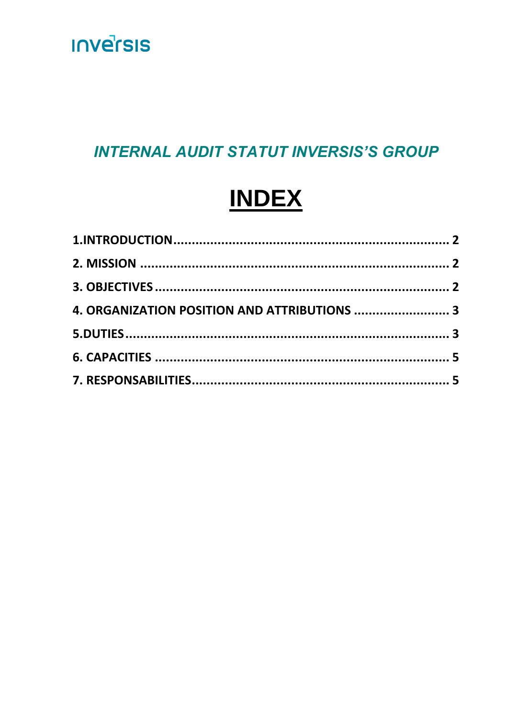

### **INTERNAL AUDIT STATUT INVERSIS'S GROUP**

# **INDEX**

| 4. ORGANIZATION POSITION AND ATTRIBUTIONS  3 |  |
|----------------------------------------------|--|
|                                              |  |
|                                              |  |
|                                              |  |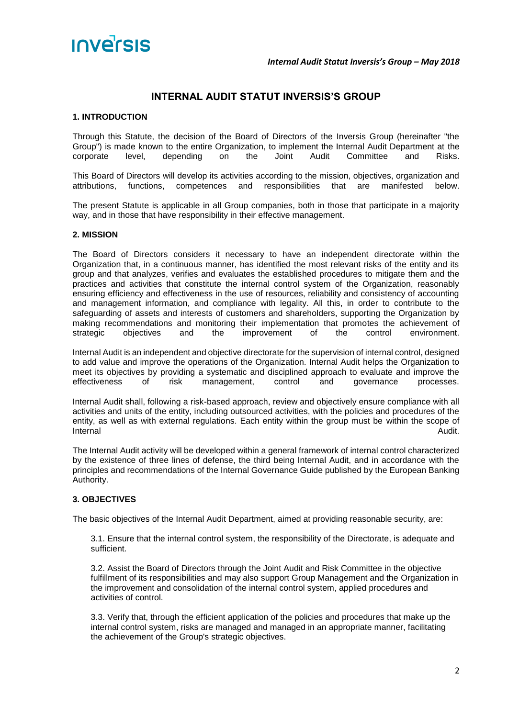

#### **INTERNAL AUDIT STATUT INVERSIS'S GROUP**

#### <span id="page-1-0"></span>**1. INTRODUCTION**

Through this Statute, the decision of the Board of Directors of the Inversis Group (hereinafter "the Group") is made known to the entire Organization, to implement the Internal Audit Department at the corporate level, depending on the Joint Audit Committee and Risks.

This Board of Directors will develop its activities according to the mission, objectives, organization and attributions, functions, competences and responsibilities that are manifested below.

The present Statute is applicable in all Group companies, both in those that participate in a majority way, and in those that have responsibility in their effective management.

#### <span id="page-1-1"></span>**2. MISSION**

The Board of Directors considers it necessary to have an independent directorate within the Organization that, in a continuous manner, has identified the most relevant risks of the entity and its group and that analyzes, verifies and evaluates the established procedures to mitigate them and the practices and activities that constitute the internal control system of the Organization, reasonably ensuring efficiency and effectiveness in the use of resources, reliability and consistency of accounting and management information, and compliance with legality. All this, in order to contribute to the safeguarding of assets and interests of customers and shareholders, supporting the Organization by making recommendations and monitoring their implementation that promotes the achievement of strategic objectives and the improvement of the control environment.

Internal Audit is an independent and objective directorate for the supervision of internal control, designed to add value and improve the operations of the Organization. Internal Audit helps the Organization to meet its objectives by providing a systematic and disciplined approach to evaluate and improve the effectiveness of risk management, control and governance processes.

Internal Audit shall, following a risk-based approach, review and objectively ensure compliance with all activities and units of the entity, including outsourced activities, with the policies and procedures of the entity, as well as with external regulations. Each entity within the group must be within the scope of **Internal Audit.** Audit. Audit. Audit. Audit. Audit. Audit. Audit. Audit. Audit. Audit. Audit. Audit. Audit. Audit.

The Internal Audit activity will be developed within a general framework of internal control characterized by the existence of three lines of defense, the third being Internal Audit, and in accordance with the principles and recommendations of the Internal Governance Guide published by the European Banking Authority.

#### <span id="page-1-2"></span>**3. OBJECTIVES**

The basic objectives of the Internal Audit Department, aimed at providing reasonable security, are:

3.1. Ensure that the internal control system, the responsibility of the Directorate, is adequate and sufficient.

3.2. Assist the Board of Directors through the Joint Audit and Risk Committee in the objective fulfillment of its responsibilities and may also support Group Management and the Organization in the improvement and consolidation of the internal control system, applied procedures and activities of control.

3.3. Verify that, through the efficient application of the policies and procedures that make up the internal control system, risks are managed and managed in an appropriate manner, facilitating the achievement of the Group's strategic objectives.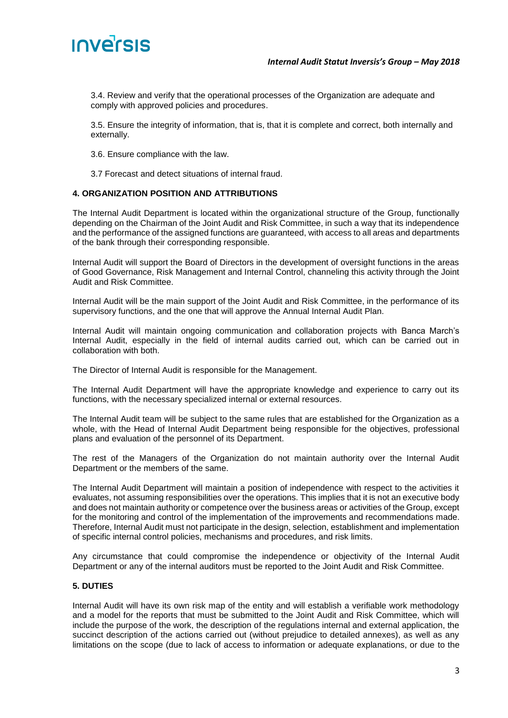

3.4. Review and verify that the operational processes of the Organization are adequate and comply with approved policies and procedures.

3.5. Ensure the integrity of information, that is, that it is complete and correct, both internally and externally.

3.6. Ensure compliance with the law.

3.7 Forecast and detect situations of internal fraud.

#### <span id="page-2-0"></span>**4. ORGANIZATION POSITION AND ATTRIBUTIONS**

The Internal Audit Department is located within the organizational structure of the Group, functionally depending on the Chairman of the Joint Audit and Risk Committee, in such a way that its independence and the performance of the assigned functions are guaranteed, with access to all areas and departments of the bank through their corresponding responsible.

Internal Audit will support the Board of Directors in the development of oversight functions in the areas of Good Governance, Risk Management and Internal Control, channeling this activity through the Joint Audit and Risk Committee.

Internal Audit will be the main support of the Joint Audit and Risk Committee, in the performance of its supervisory functions, and the one that will approve the Annual Internal Audit Plan.

Internal Audit will maintain ongoing communication and collaboration projects with Banca March's Internal Audit, especially in the field of internal audits carried out, which can be carried out in collaboration with both.

The Director of Internal Audit is responsible for the Management.

The Internal Audit Department will have the appropriate knowledge and experience to carry out its functions, with the necessary specialized internal or external resources.

The Internal Audit team will be subject to the same rules that are established for the Organization as a whole, with the Head of Internal Audit Department being responsible for the objectives, professional plans and evaluation of the personnel of its Department.

The rest of the Managers of the Organization do not maintain authority over the Internal Audit Department or the members of the same.

The Internal Audit Department will maintain a position of independence with respect to the activities it evaluates, not assuming responsibilities over the operations. This implies that it is not an executive body and does not maintain authority or competence over the business areas or activities of the Group, except for the monitoring and control of the implementation of the improvements and recommendations made. Therefore, Internal Audit must not participate in the design, selection, establishment and implementation of specific internal control policies, mechanisms and procedures, and risk limits.

Any circumstance that could compromise the independence or objectivity of the Internal Audit Department or any of the internal auditors must be reported to the Joint Audit and Risk Committee.

#### <span id="page-2-1"></span>**5. DUTIES**

Internal Audit will have its own risk map of the entity and will establish a verifiable work methodology and a model for the reports that must be submitted to the Joint Audit and Risk Committee, which will include the purpose of the work, the description of the regulations internal and external application, the succinct description of the actions carried out (without prejudice to detailed annexes), as well as any limitations on the scope (due to lack of access to information or adequate explanations, or due to the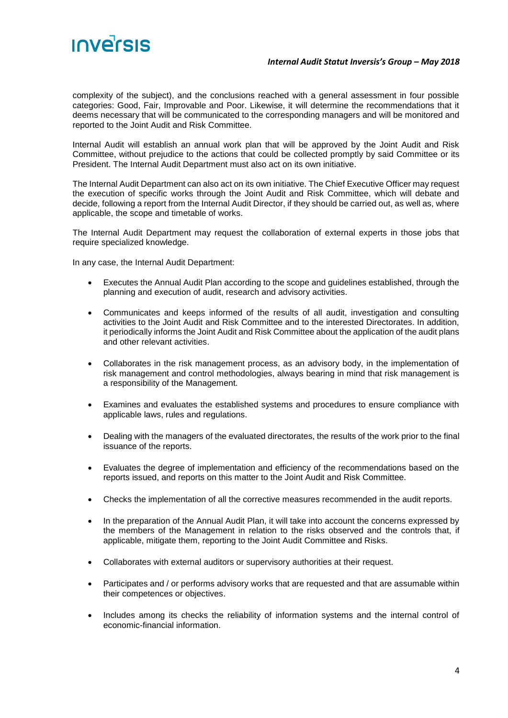

#### *Internal Audit Statut Inversis's Group – May 2018*

complexity of the subject), and the conclusions reached with a general assessment in four possible categories: Good, Fair, Improvable and Poor. Likewise, it will determine the recommendations that it deems necessary that will be communicated to the corresponding managers and will be monitored and reported to the Joint Audit and Risk Committee.

Internal Audit will establish an annual work plan that will be approved by the Joint Audit and Risk Committee, without prejudice to the actions that could be collected promptly by said Committee or its President. The Internal Audit Department must also act on its own initiative.

The Internal Audit Department can also act on its own initiative. The Chief Executive Officer may request the execution of specific works through the Joint Audit and Risk Committee, which will debate and decide, following a report from the Internal Audit Director, if they should be carried out, as well as, where applicable, the scope and timetable of works.

The Internal Audit Department may request the collaboration of external experts in those jobs that require specialized knowledge.

In any case, the Internal Audit Department:

- Executes the Annual Audit Plan according to the scope and guidelines established, through the planning and execution of audit, research and advisory activities.
- Communicates and keeps informed of the results of all audit, investigation and consulting activities to the Joint Audit and Risk Committee and to the interested Directorates. In addition, it periodically informs the Joint Audit and Risk Committee about the application of the audit plans and other relevant activities.
- Collaborates in the risk management process, as an advisory body, in the implementation of risk management and control methodologies, always bearing in mind that risk management is a responsibility of the Management.
- Examines and evaluates the established systems and procedures to ensure compliance with applicable laws, rules and regulations.
- Dealing with the managers of the evaluated directorates, the results of the work prior to the final issuance of the reports.
- Evaluates the degree of implementation and efficiency of the recommendations based on the reports issued, and reports on this matter to the Joint Audit and Risk Committee.
- Checks the implementation of all the corrective measures recommended in the audit reports.
- In the preparation of the Annual Audit Plan, it will take into account the concerns expressed by the members of the Management in relation to the risks observed and the controls that, if applicable, mitigate them, reporting to the Joint Audit Committee and Risks.
- Collaborates with external auditors or supervisory authorities at their request.
- Participates and / or performs advisory works that are requested and that are assumable within their competences or objectives.
- Includes among its checks the reliability of information systems and the internal control of economic-financial information.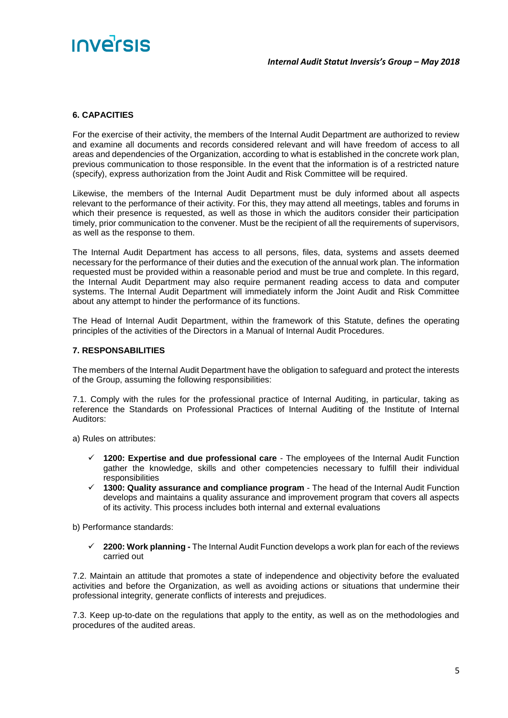## INVErsis

#### <span id="page-4-0"></span>**6. CAPACITIES**

For the exercise of their activity, the members of the Internal Audit Department are authorized to review and examine all documents and records considered relevant and will have freedom of access to all areas and dependencies of the Organization, according to what is established in the concrete work plan, previous communication to those responsible. In the event that the information is of a restricted nature (specify), express authorization from the Joint Audit and Risk Committee will be required.

Likewise, the members of the Internal Audit Department must be duly informed about all aspects relevant to the performance of their activity. For this, they may attend all meetings, tables and forums in which their presence is requested, as well as those in which the auditors consider their participation timely, prior communication to the convener. Must be the recipient of all the requirements of supervisors, as well as the response to them.

The Internal Audit Department has access to all persons, files, data, systems and assets deemed necessary for the performance of their duties and the execution of the annual work plan. The information requested must be provided within a reasonable period and must be true and complete. In this regard, the Internal Audit Department may also require permanent reading access to data and computer systems. The Internal Audit Department will immediately inform the Joint Audit and Risk Committee about any attempt to hinder the performance of its functions.

The Head of Internal Audit Department, within the framework of this Statute, defines the operating principles of the activities of the Directors in a Manual of Internal Audit Procedures.

#### <span id="page-4-1"></span>**7. RESPONSABILITIES**

The members of the Internal Audit Department have the obligation to safeguard and protect the interests of the Group, assuming the following responsibilities:

7.1. Comply with the rules for the professional practice of Internal Auditing, in particular, taking as reference the Standards on Professional Practices of Internal Auditing of the Institute of Internal Auditors:

a) Rules on attributes:

- ✓ **1200: Expertise and due professional care** The employees of the Internal Audit Function gather the knowledge, skills and other competencies necessary to fulfill their individual responsibilities
- ✓ **1300: Quality assurance and compliance program** The head of the Internal Audit Function develops and maintains a quality assurance and improvement program that covers all aspects of its activity. This process includes both internal and external evaluations

b) Performance standards:

✓ **2200: Work planning -** The Internal Audit Function develops a work plan for each of the reviews carried out

7.2. Maintain an attitude that promotes a state of independence and objectivity before the evaluated activities and before the Organization, as well as avoiding actions or situations that undermine their professional integrity, generate conflicts of interests and prejudices.

7.3. Keep up-to-date on the regulations that apply to the entity, as well as on the methodologies and procedures of the audited areas.